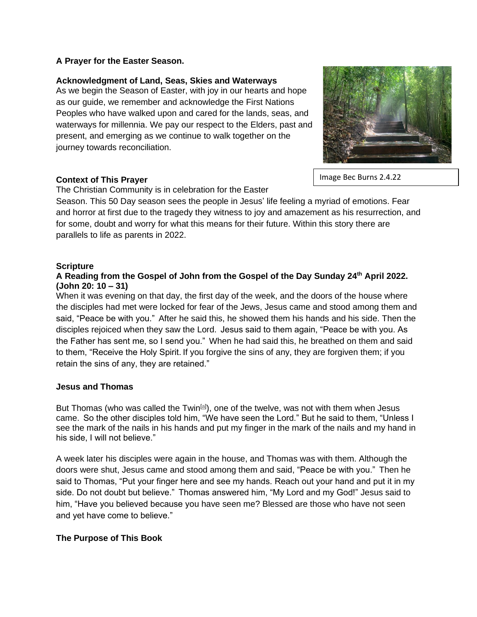## **A Prayer for the Easter Season.**

## **Acknowledgment of Land, Seas, Skies and Waterways**

As we begin the Season of Easter, with joy in our hearts and hope as our guide, we remember and acknowledge the First Nations Peoples who have walked upon and cared for the lands, seas, and waterways for millennia. We pay our respect to the Elders, past and present, and emerging as we continue to walk together on the journey towards reconciliation.



Image Bec Burns 2.4.22

#### **Context of This Prayer**

The Christian Community is in celebration for the Easter

Season. This 50 Day season sees the people in Jesus' life feeling a myriad of emotions. Fear and horror at first due to the tragedy they witness to joy and amazement as his resurrection, and for some, doubt and worry for what this means for their future. Within this story there are parallels to life as parents in 2022.

#### **Scripture**

### **A Reading from the Gospel of John from the Gospel of the Day Sunday 24th April 2022. (John 20: 10 – 31)**

When it was evening on that day, the first day of the week, and the doors of the house where the disciples had met were locked for fear of the Jews, Jesus came and stood among them and said, "Peace be with you." After he said this, he showed them his hands and his side. Then the disciples rejoiced when they saw the Lord. Jesus said to them again, "Peace be with you. As the Father has sent me, so I send you." When he had said this, he breathed on them and said to them, "Receive the Holy Spirit. If you forgive the sins of any, they are forgiven them; if you retain the sins of any, they are retained."

#### **Jesus and Thomas**

But Thomas (who was called the Twin<sup>[\[a\]](https://www.biblegateway.com/passage/?search=John%2020%3A19-31&version=NRSV#fen-NRSV-26881a)</sup>), one of the twelve, was not with them when Jesus came. So the other disciples told him, "We have seen the Lord." But he said to them, "Unless I see the mark of the nails in his hands and put my finger in the mark of the nails and my hand in his side, I will not believe."

A week later his disciples were again in the house, and Thomas was with them. Although the doors were shut, Jesus came and stood among them and said, "Peace be with you." Then he said to Thomas, "Put your finger here and see my hands. Reach out your hand and put it in my side. Do not doubt but believe." Thomas answered him, "My Lord and my God!" Jesus said to him, "Have you believed because you have seen me? Blessed are those who have not seen and yet have come to believe."

# **The Purpose of This Book**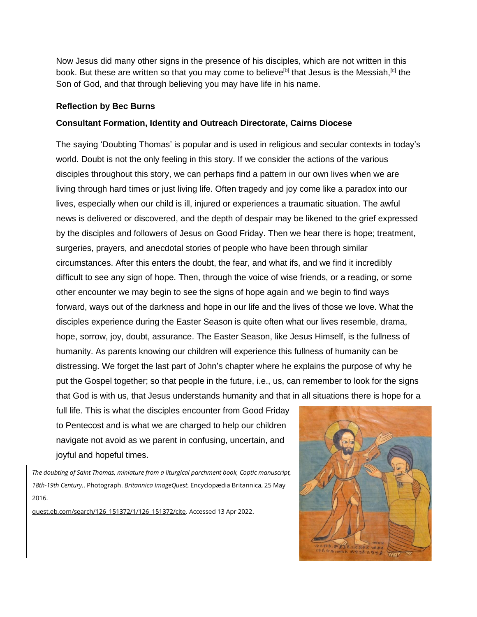Now Jesus did many other signs in the presence of his disciples, which are not written in this book. But these are written so that you may come to believe<sup>[\[b\]](https://www.biblegateway.com/passage/?search=John%2020%3A19-31&version=NRSV#fen-NRSV-26888b)</sup> that Jesus is the Messiah,<sup>[\[c\]](https://www.biblegateway.com/passage/?search=John%2020%3A19-31&version=NRSV#fen-NRSV-26888c)</sup> the Son of God, and that through believing you may have life in his name.

### **Reflection by Bec Burns**

# **Consultant Formation, Identity and Outreach Directorate, Cairns Diocese**

The saying 'Doubting Thomas' is popular and is used in religious and secular contexts in today's world. Doubt is not the only feeling in this story. If we consider the actions of the various disciples throughout this story, we can perhaps find a pattern in our own lives when we are living through hard times or just living life. Often tragedy and joy come like a paradox into our lives, especially when our child is ill, injured or experiences a traumatic situation. The awful news is delivered or discovered, and the depth of despair may be likened to the grief expressed by the disciples and followers of Jesus on Good Friday. Then we hear there is hope; treatment, surgeries, prayers, and anecdotal stories of people who have been through similar circumstances. After this enters the doubt, the fear, and what ifs, and we find it incredibly difficult to see any sign of hope. Then, through the voice of wise friends, or a reading, or some other encounter we may begin to see the signs of hope again and we begin to find ways forward, ways out of the darkness and hope in our life and the lives of those we love. What the disciples experience during the Easter Season is quite often what our lives resemble, drama, hope, sorrow, joy, doubt, assurance. The Easter Season, like Jesus Himself, is the fullness of humanity. As parents knowing our children will experience this fullness of humanity can be distressing. We forget the last part of John's chapter where he explains the purpose of why he put the Gospel together; so that people in the future, i.e., us, can remember to look for the signs that God is with us, that Jesus understands humanity and that in all situations there is hope for a

full life. This is what the disciples encounter from Good Friday to Pentecost and is what we are charged to help our children navigate not avoid as we parent in confusing, uncertain, and joyful and hopeful times.

*The doubting of Saint Thomas, miniature from a liturgical parchment book, Coptic manuscript, 18th-19th Century.*. Photograph. *Britannica ImageQuest*, Encyclopædia Britannica, 25 May 2016.

[quest.eb.com/search/126\\_151372/1/126\\_151372/cite.](https://quest.eb.com/search/126_151372/1/126_151372/cite) Accessed 13 Apr 2022.